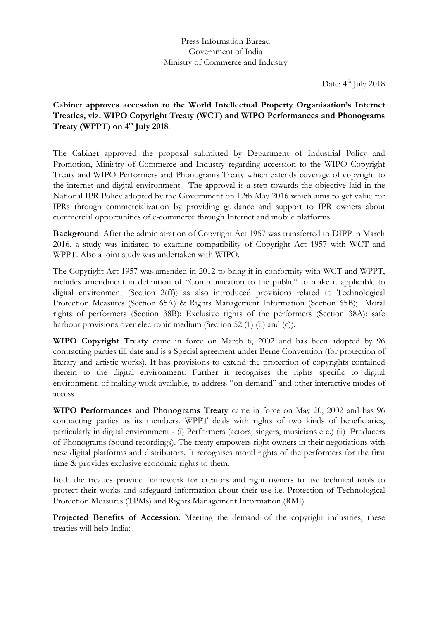Date: 4<sup>th</sup> July 2018

## **Cabinet approves accession to the World Intellectual Property Organisation's Internet Treaties, viz. WIPO Copyright Treaty (WCT) and WIPO Performances and Phonograms Treaty (WPPT) on 4 th July 2018**.

The Cabinet approved the proposal submitted by Department of Industrial Policy and Promotion, Ministry of Commerce and Industry regarding accession to the WIPO Copyright Treaty and WIPO Performers and Phonograms Treaty which extends coverage of copyright to the internet and digital environment. The approval is a step towards the objective laid in the National IPR Policy adopted by the Government on 12th May 2016 which aims to get value for IPRs through commercialization by providing guidance and support to IPR owners about commercial opportunities of e-commerce through Internet and mobile platforms.

**Background**: After the administration of Copyright Act 1957 was transferred to DIPP in March 2016, a study was initiated to examine compatibility of Copyright Act 1957 with WCT and WPPT. Also a joint study was undertaken with WIPO.

The Copyright Act 1957 was amended in 2012 to bring it in conformity with WCT and WPPT, includes amendment in definition of "Communication to the public" to make it applicable to digital environment (Section 2(ff)) as also introduced provisions related to Technological Protection Measures (Section 65A) & Rights Management Information (Section 65B); Moral rights of performers (Section 38B); Exclusive rights of the performers (Section 38A); safe harbour provisions over electronic medium (Section 52 (1) (b) and (c)).

**WIPO Copyright Treaty** came in force on March 6, 2002 and has been adopted by 96 contracting parties till date and is a Special agreement under Berne Convention (for protection of literary and artistic works). It has provisions to extend the protection of copyrights contained therein to the digital environment. Further it recognises the rights specific to digital environment, of making work available, to address "on-demand" and other interactive modes of access.

**WIPO Performances and Phonograms Treaty** came in force on May 20, 2002 and has 96 contracting parties as its members. WPPT deals with rights of two kinds of beneficiaries, particularly in digital environment - (i) Performers (actors, singers, musicians etc.) (ii) Producers of Phonograms (Sound recordings). The treaty empowers right owners in their negotiations with new digital platforms and distributors. It recognises moral rights of the performers for the first time & provides exclusive economic rights to them.

Both the treaties provide framework for creators and right owners to use technical tools to protect their works and safeguard information about their use i.e. Protection of Technological Protection Measures (TPMs) and Rights Management Information (RMI).

**Projected Benefits of Accession**: Meeting the demand of the copyright industries, these treaties will help India: